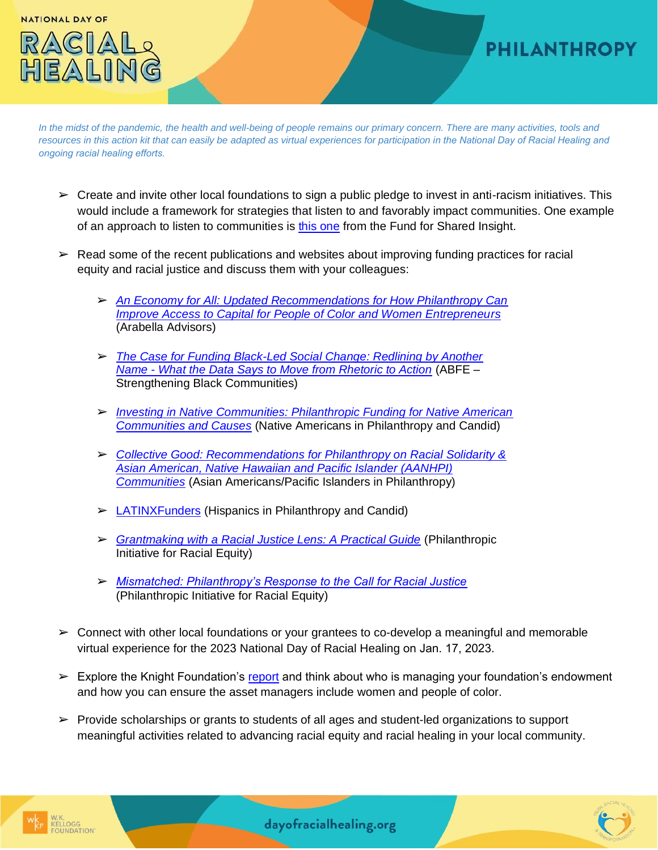**NATIONAL DAY OF** 

## RACIA  $EANII$

## **PHILANTHROPY**

*In the midst of the pandemic, the health and well-being of people remains our primary concern. There are many activities, tools and resources in this action kit that can easily be adapted as virtual experiences for participation in the National Day of Racial Healing and ongoing racial healing efforts.*

- $\triangleright$  Create and invite other local foundations to sign a public pledge to invest in anti-racism initiatives. This would include a framework for strategies that listen to and favorably impact communities. One example of an approach to listen to communities is [this one](https://fundforsharedinsight.org/learn-more/listening4equity/) from the Fund for Shared Insight.
- $\triangleright$  Read some of the recent publications and websites about improving funding practices for racial equity and racial justice and discuss them with your colleagues:
	- ➢ *[An Economy for All: Updated Recommendations for How Philanthropy Can](https://aneconomyforall.com/An_Economy_For%20All_2021_Update.pdf) [Improve Access to Capital for People of Color and Women Entrepreneurs](https://aneconomyforall.com/An_Economy_For%20All_2021_Update.pdf)* (Arabella Advisors)
	- ➢ *[The Case for Funding Black-Led Social Change: Redlining by Another](http://www.blacksocialchange.org/wp-content/uploads/2020/05/BSCFN_BLSCO_Report.pdf) Name - [What the Data Says to Move from Rhetoric to Action](http://www.blacksocialchange.org/wp-content/uploads/2020/05/BSCFN_BLSCO_Report.pdf)* (ABFE – Strengthening Black Communities)
	- ➢ *[Investing in Native Communities: Philanthropic Funding for Native American](https://www.issuelab.org/resources/35493/35493.pdf?download=true&_ga=2.56827946.1209014558.1604941390-1531925363.1604941390) [Communities and Causes](https://www.issuelab.org/resources/35493/35493.pdf?download=true&_ga=2.56827946.1209014558.1604941390-1531925363.1604941390)* (Native Americans in Philanthropy and Candid)
	- ➢ *[Collective Good: Recommendations for Philanthropy on Racial Solidarity &](https://aapip.org/resources/collective-good/) [Asian American, Native Hawaiian and Pacific Islander \(AANHPI\)](https://aapip.org/resources/collective-good/) [Communities](https://aapip.org/resources/collective-good/)* (Asian Americans/Pacific Islanders in Philanthropy)
	- $\triangleright$  [LATINXFunders](https://latinxfunders.org/?_gl=1%2Aksa3lh%2A_ga%2AMjg0NDk2NjYuMTYzNjQ4MzgzNg..%2A_ga_5W8PXYYGBX%2AMTYzNjQ4MzgzNS4xLjAuMTYzNjQ4MzgzNS4w&_ga=2.223127314.822966787.1636483836-28449666.1636483836) (Hispanics in Philanthropy and Candid)
	- ➢ *[Grantmaking with a Racial Justice Lens: A Practical Guide](https://racialequity.org/grantmaking-with-a-racial-justice-lens/)* (Philanthropic Initiative for Racial Equity)
	- ➢ *[Mismatched: Philanthropy's Response to the Call for Racial Justice](https://racialequity.org/mismatched/)* (Philanthropic Initiative for Racial Equity)
- $\geq$  Connect with other local foundations or your grantees to co-develop a meaningful and memorable virtual experience for the 2023 National Day of Racial Healing on Jan. 17, 2023.
- $\triangleright$  Explore the Knight Foundation's [report](https://knightfoundation.org/reports/knight-diversity-of-asset-managers-research-series-philanthropy/) and think about who is managing your foundation's endowment and how you can ensure the asset managers include women and people of color.
- ➢ Provide scholarships or grants to students of all ages and student-led organizations to support meaningful activities related to advancing racial equity and racial healing in your local community.